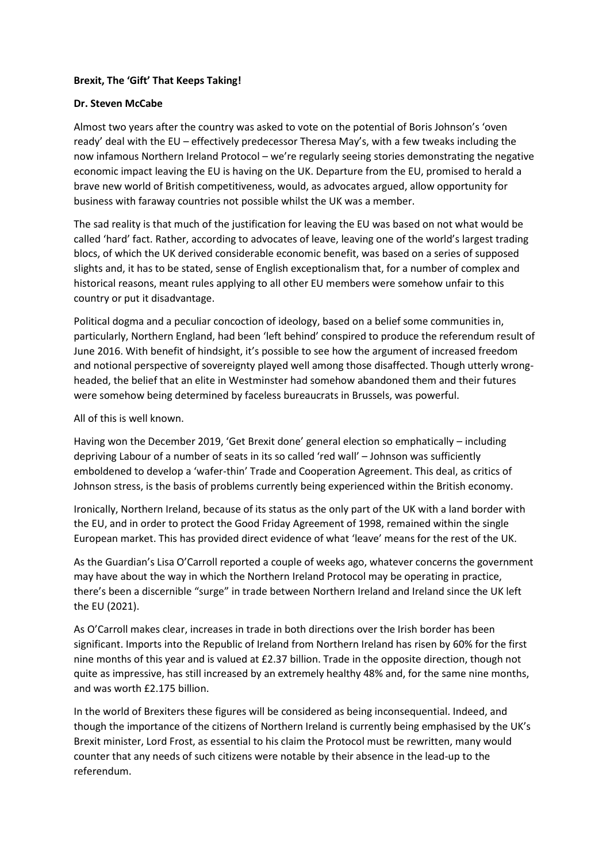## **Brexit, The 'Gift' That Keeps Taking!**

## **Dr. Steven McCabe**

Almost two years after the country was asked to vote on the potential of Boris Johnson's 'oven ready' deal with the EU – effectively predecessor Theresa May's, with a few tweaks including the now infamous Northern Ireland Protocol – we're regularly seeing stories demonstrating the negative economic impact leaving the EU is having on the UK. Departure from the EU, promised to herald a brave new world of British competitiveness, would, as advocates argued, allow opportunity for business with faraway countries not possible whilst the UK was a member.

The sad reality is that much of the justification for leaving the EU was based on not what would be called 'hard' fact. Rather, according to advocates of leave, leaving one of the world's largest trading blocs, of which the UK derived considerable economic benefit, was based on a series of supposed slights and, it has to be stated, sense of English exceptionalism that, for a number of complex and historical reasons, meant rules applying to all other EU members were somehow unfair to this country or put it disadvantage.

Political dogma and a peculiar concoction of ideology, based on a belief some communities in, particularly, Northern England, had been 'left behind' conspired to produce the referendum result of June 2016. With benefit of hindsight, it's possible to see how the argument of increased freedom and notional perspective of sovereignty played well among those disaffected. Though utterly wrongheaded, the belief that an elite in Westminster had somehow abandoned them and their futures were somehow being determined by faceless bureaucrats in Brussels, was powerful.

All of this is well known.

Having won the December 2019, 'Get Brexit done' general election so emphatically – including depriving Labour of a number of seats in its so called 'red wall' – Johnson was sufficiently emboldened to develop a 'wafer-thin' Trade and Cooperation Agreement. This deal, as critics of Johnson stress, is the basis of problems currently being experienced within the British economy.

Ironically, Northern Ireland, because of its status as the only part of the UK with a land border with the EU, and in order to protect the Good Friday Agreement of 1998, remained within the single European market. This has provided direct evidence of what 'leave' means for the rest of the UK.

As the Guardian's Lisa O'Carroll reported a couple of weeks ago, whatever concerns the government may have about the way in which the Northern Ireland Protocol may be operating in practice, there's been a discernible "surge" in trade between Northern Ireland and Ireland since the UK left the EU (2021).

As O'Carroll makes clear, increases in trade in both directions over the Irish border has been significant. Imports into the Republic of Ireland from Northern Ireland has risen by 60% for the first nine months of this year and is valued at £2.37 billion. Trade in the opposite direction, though not quite as impressive, has still increased by an extremely healthy 48% and, for the same nine months, and was worth £2.175 billion.

In the world of Brexiters these figures will be considered as being inconsequential. Indeed, and though the importance of the citizens of Northern Ireland is currently being emphasised by the UK's Brexit minister, Lord Frost, as essential to his claim the Protocol must be rewritten, many would counter that any needs of such citizens were notable by their absence in the lead-up to the referendum.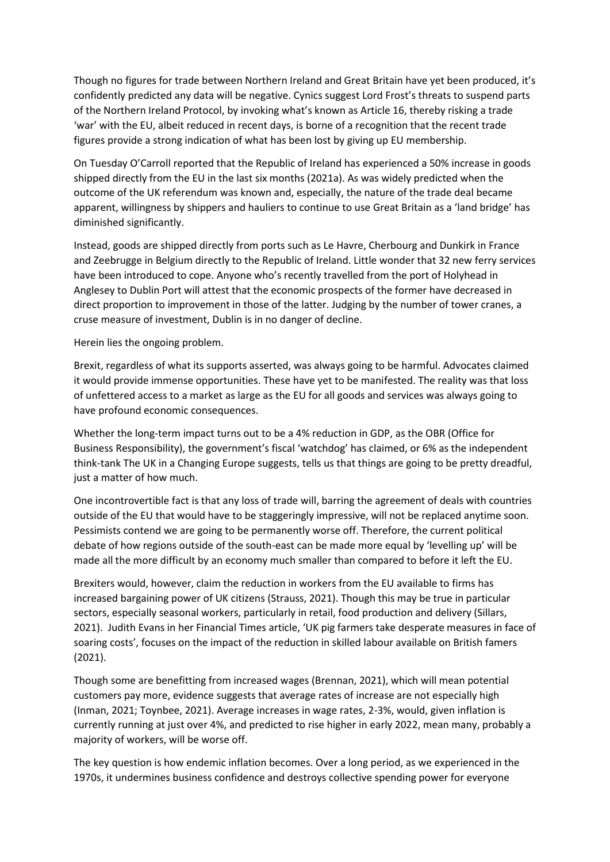Though no figures for trade between Northern Ireland and Great Britain have yet been produced, it's confidently predicted any data will be negative. Cynics suggest Lord Frost's threats to suspend parts of the Northern Ireland Protocol, by invoking what's known as Article 16, thereby risking a trade 'war' with the EU, albeit reduced in recent days, is borne of a recognition that the recent trade figures provide a strong indication of what has been lost by giving up EU membership.

On Tuesday O'Carroll reported that the Republic of Ireland has experienced a 50% increase in goods shipped directly from the EU in the last six months (2021a). As was widely predicted when the outcome of the UK referendum was known and, especially, the nature of the trade deal became apparent, willingness by shippers and hauliers to continue to use Great Britain as a 'land bridge' has diminished significantly.

Instead, goods are shipped directly from ports such as Le Havre, Cherbourg and Dunkirk in France and Zeebrugge in Belgium directly to the Republic of Ireland. Little wonder that 32 new ferry services have been introduced to cope. Anyone who's recently travelled from the port of Holyhead in Anglesey to Dublin Port will attest that the economic prospects of the former have decreased in direct proportion to improvement in those of the latter. Judging by the number of tower cranes, a cruse measure of investment, Dublin is in no danger of decline.

Herein lies the ongoing problem.

Brexit, regardless of what its supports asserted, was always going to be harmful. Advocates claimed it would provide immense opportunities. These have yet to be manifested. The reality was that loss of unfettered access to a market as large as the EU for all goods and services was always going to have profound economic consequences.

Whether the long-term impact turns out to be a 4% reduction in GDP, as the OBR (Office for Business Responsibility), the government's fiscal 'watchdog' has claimed, or 6% as the independent think-tank The UK in a Changing Europe suggests, tells us that things are going to be pretty dreadful, just a matter of how much.

One incontrovertible fact is that any loss of trade will, barring the agreement of deals with countries outside of the EU that would have to be staggeringly impressive, will not be replaced anytime soon. Pessimists contend we are going to be permanently worse off. Therefore, the current political debate of how regions outside of the south-east can be made more equal by 'levelling up' will be made all the more difficult by an economy much smaller than compared to before it left the EU.

Brexiters would, however, claim the reduction in workers from the EU available to firms has increased bargaining power of UK citizens (Strauss, 2021). Though this may be true in particular sectors, especially seasonal workers, particularly in retail, food production and delivery (Sillars, 2021). Judith Evans in her Financial Times article, 'UK pig farmers take desperate measures in face of soaring costs', focuses on the impact of the reduction in skilled labour available on British famers (2021).

Though some are benefitting from increased wages (Brennan, 2021), which will mean potential customers pay more, evidence suggests that average rates of increase are not especially high (Inman, 2021; Toynbee, 2021). Average increases in wage rates, 2-3%, would, given inflation is currently running at just over 4%, and predicted to rise higher in early 2022, mean many, probably a majority of workers, will be worse off.

The key question is how endemic inflation becomes. Over a long period, as we experienced in the 1970s, it undermines business confidence and destroys collective spending power for everyone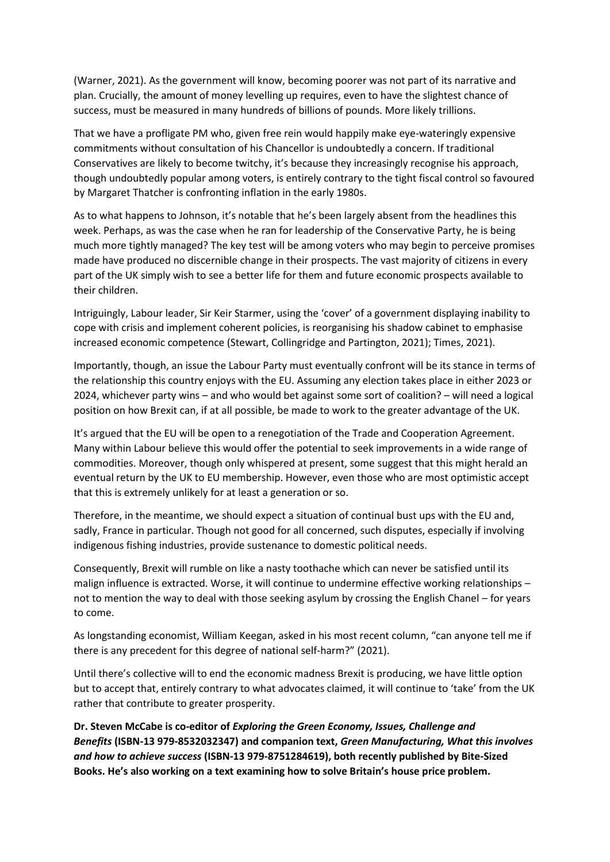(Warner, 2021). As the government will know, becoming poorer was not part of its narrative and plan. Crucially, the amount of money levelling up requires, even to have the slightest chance of success, must be measured in many hundreds of billions of pounds. More likely trillions.

That we have a profligate PM who, given free rein would happily make eye-wateringly expensive commitments without consultation of his Chancellor is undoubtedly a concern. If traditional Conservatives are likely to become twitchy, it's because they increasingly recognise his approach, though undoubtedly popular among voters, is entirely contrary to the tight fiscal control so favoured by Margaret Thatcher is confronting inflation in the early 1980s.

As to what happens to Johnson, it's notable that he's been largely absent from the headlines this week. Perhaps, as was the case when he ran for leadership of the Conservative Party, he is being much more tightly managed? The key test will be among voters who may begin to perceive promises made have produced no discernible change in their prospects. The vast majority of citizens in every part of the UK simply wish to see a better life for them and future economic prospects available to their children.

Intriguingly, Labour leader, Sir Keir Starmer, using the 'cover' of a government displaying inability to cope with crisis and implement coherent policies, is reorganising his shadow cabinet to emphasise increased economic competence (Stewart, Collingridge and Partington, 2021); Times, 2021).

Importantly, though, an issue the Labour Party must eventually confront will be its stance in terms of the relationship this country enjoys with the EU. Assuming any election takes place in either 2023 or 2024, whichever party wins – and who would bet against some sort of coalition? – will need a logical position on how Brexit can, if at all possible, be made to work to the greater advantage of the UK.

It's argued that the EU will be open to a renegotiation of the Trade and Cooperation Agreement. Many within Labour believe this would offer the potential to seek improvements in a wide range of commodities. Moreover, though only whispered at present, some suggest that this might herald an eventual return by the UK to EU membership. However, even those who are most optimistic accept that this is extremely unlikely for at least a generation or so.

Therefore, in the meantime, we should expect a situation of continual bust ups with the EU and, sadly, France in particular. Though not good for all concerned, such disputes, especially if involving indigenous fishing industries, provide sustenance to domestic political needs.

Consequently, Brexit will rumble on like a nasty toothache which can never be satisfied until its malign influence is extracted. Worse, it will continue to undermine effective working relationships – not to mention the way to deal with those seeking asylum by crossing the English Chanel – for years to come.

As longstanding economist, William Keegan, asked in his most recent column, "can anyone tell me if there is any precedent for this degree of national self-harm?" (2021).

Until there's collective will to end the economic madness Brexit is producing, we have little option but to accept that, entirely contrary to what advocates claimed, it will continue to 'take' from the UK rather that contribute to greater prosperity.

**Dr. Steven McCabe is co-editor of** *Exploring the Green Economy, Issues, Challenge and Benefits* **(ISBN-13 979-8532032347) and companion text,** *Green Manufacturing, What this involves and how to achieve success* **(ISBN-13 979-8751284619), both recently published by Bite-Sized Books. He's also working on a text examining how to solve Britain's house price problem.**